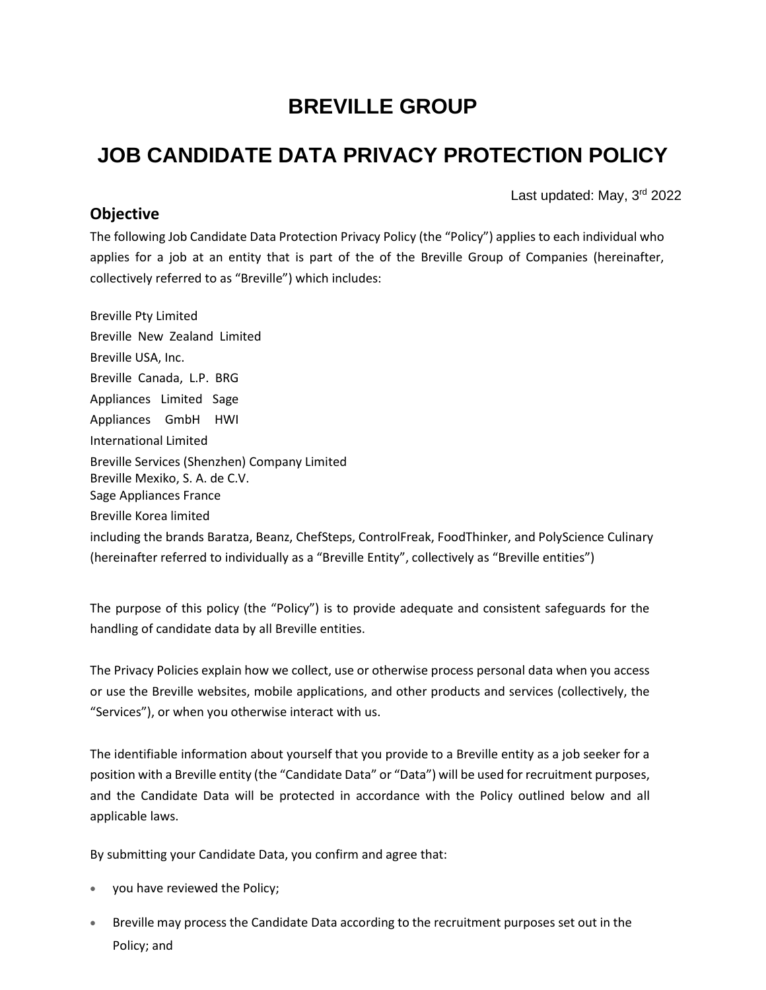# **BREVILLE GROUP**

# **JOB CANDIDATE DATA PRIVACY PROTECTION POLICY**

Last updated: May, 3<sup>rd</sup> 2022

### **Objective**

The following Job Candidate Data Protection Privacy Policy (the "Policy") applies to each individual who applies for a job at an entity that is part of the of the Breville Group of Companies (hereinafter, collectively referred to as "Breville") which includes:

Breville Pty Limited Breville New Zealand Limited Breville USA, Inc. Breville Canada, L.P. BRG Appliances Limited Sage Appliances GmbH HWI International Limited Breville Services (Shenzhen) Company Limited Breville Mexiko, S. A. de C.V. Sage Appliances France Breville Korea limited including the brands Baratza, Beanz, ChefSteps, ControlFreak, FoodThinker, and PolyScience Culinary (hereinafter referred to individually as a "Breville Entity", collectively as "Breville entities")

The purpose of this policy (the "Policy") is to provide adequate and consistent safeguards for the handling of candidate data by all Breville entities.

The Privacy Policies explain how we collect, use or otherwise process personal data when you access or use the Breville websites, mobile applications, and other products and services (collectively, the "Services"), or when you otherwise interact with us.

The identifiable information about yourself that you provide to a Breville entity as a job seeker for a position with a Breville entity (the "Candidate Data" or "Data") will be used for recruitment purposes, and the Candidate Data will be protected in accordance with the Policy outlined below and all applicable laws.

By submitting your Candidate Data, you confirm and agree that:

- you have reviewed the Policy;
- Breville may process the Candidate Data according to the recruitment purposes set out in the Policy; and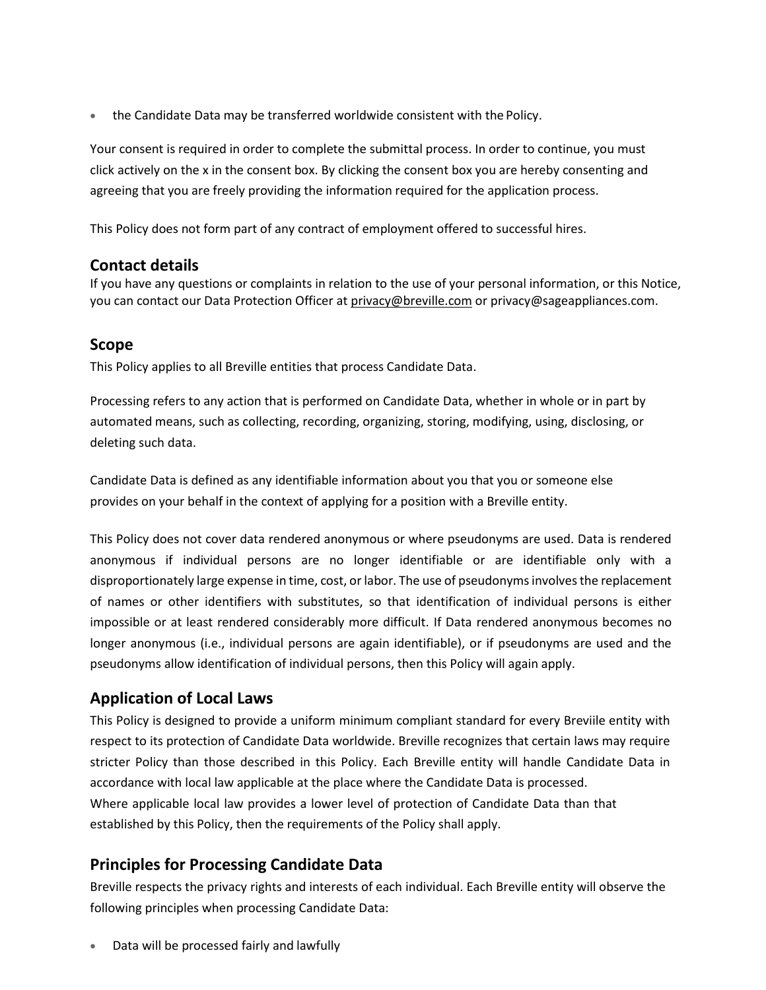• the Candidate Data may be transferred worldwide consistent with the Policy.

Your consent is required in order to complete the submittal process. In order to continue, you must click actively on the x in the consent box. By clicking the consent box you are hereby consenting and agreeing that you are freely providing the information required for the application process.

This Policy does not form part of any contract of employment offered to successful hires.

### **Contact details**

If you have any questions or complaints in relation to the use of your personal information, or this Notice, you can contact our Data Protection Officer at [privacy@breville.com](mailto:privacy@breville.com) or privacy@sageappliances.com.

### **Scope**

This Policy applies to all Breville entities that process Candidate Data.

Processing refers to any action that is performed on Candidate Data, whether in whole or in part by automated means, such as collecting, recording, organizing, storing, modifying, using, disclosing, or deleting such data.

Candidate Data is defined as any identifiable information about you that you or someone else provides on your behalf in the context of applying for a position with a Breville entity.

This Policy does not cover data rendered anonymous or where pseudonyms are used. Data is rendered anonymous if individual persons are no longer identifiable or are identifiable only with a disproportionately large expense in time, cost, or labor. The use of pseudonyms involves the replacement of names or other identifiers with substitutes, so that identification of individual persons is either impossible or at least rendered considerably more difficult. If Data rendered anonymous becomes no longer anonymous (i.e., individual persons are again identifiable), or if pseudonyms are used and the pseudonyms allow identification of individual persons, then this Policy will again apply.

# **Application of Local Laws**

This Policy is designed to provide a uniform minimum compliant standard for every Breviile entity with respect to its protection of Candidate Data worldwide. Breville recognizes that certain laws may require stricter Policy than those described in this Policy. Each Breville entity will handle Candidate Data in accordance with local law applicable at the place where the Candidate Data is processed. Where applicable local law provides a lower level of protection of Candidate Data than that established by this Policy, then the requirements of the Policy shall apply.

# **Principles for Processing Candidate Data**

Breville respects the privacy rights and interests of each individual. Each Breville entity will observe the following principles when processing Candidate Data:

• Data will be processed fairly and lawfully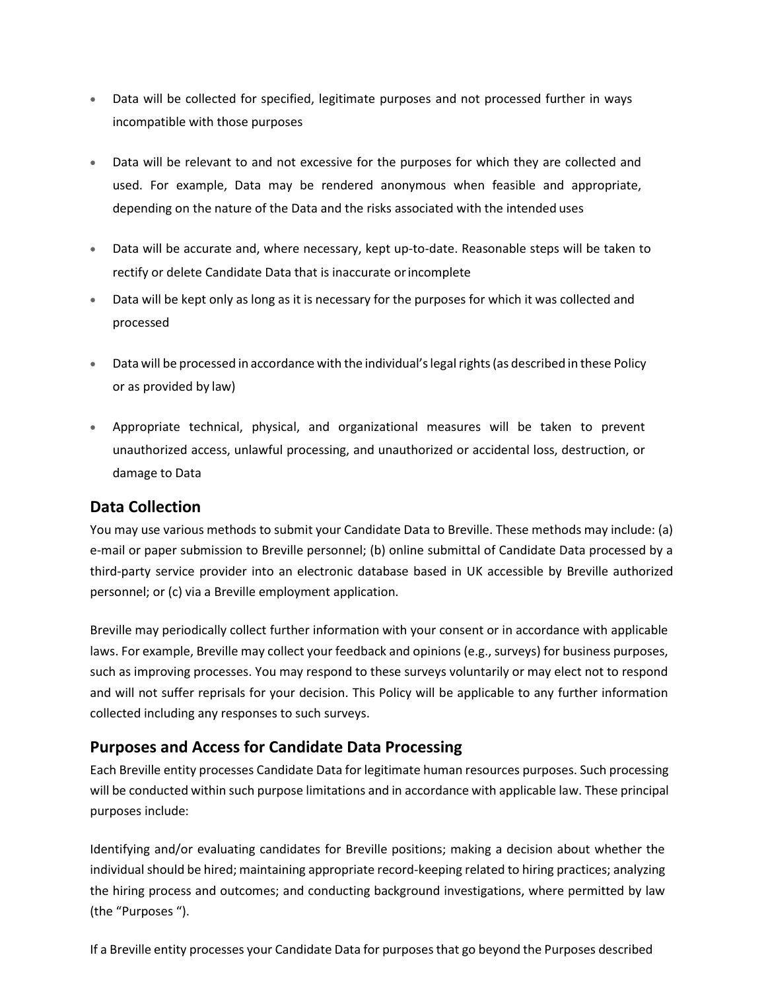- Data will be collected for specified, legitimate purposes and not processed further in ways incompatible with those purposes
- Data will be relevant to and not excessive for the purposes for which they are collected and used. For example, Data may be rendered anonymous when feasible and appropriate, depending on the nature of the Data and the risks associated with the intended uses
- Data will be accurate and, where necessary, kept up-to-date. Reasonable steps will be taken to rectify or delete Candidate Data that is inaccurate orincomplete
- Data will be kept only as long as it is necessary for the purposes for which it was collected and processed
- Data will be processed in accordance with the individual'slegalrights(as described in these Policy or as provided by law)
- Appropriate technical, physical, and organizational measures will be taken to prevent unauthorized access, unlawful processing, and unauthorized or accidental loss, destruction, or damage to Data

# **Data Collection**

You may use various methods to submit your Candidate Data to Breville. These methods may include: (a) e-mail or paper submission to Breville personnel; (b) online submittal of Candidate Data processed by a third-party service provider into an electronic database based in UK accessible by Breville authorized personnel; or (c) via a Breville employment application.

Breville may periodically collect further information with your consent or in accordance with applicable laws. For example, Breville may collect your feedback and opinions (e.g., surveys) for business purposes, such as improving processes. You may respond to these surveys voluntarily or may elect not to respond and will not suffer reprisals for your decision. This Policy will be applicable to any further information collected including any responses to such surveys.

# **Purposes and Access for Candidate Data Processing**

Each Breville entity processes Candidate Data for legitimate human resources purposes. Such processing will be conducted within such purpose limitations and in accordance with applicable law. These principal purposes include:

Identifying and/or evaluating candidates for Breville positions; making a decision about whether the individual should be hired; maintaining appropriate record-keeping related to hiring practices; analyzing the hiring process and outcomes; and conducting background investigations, where permitted by law (the "Purposes ").

If a Breville entity processes your Candidate Data for purposes that go beyond the Purposes described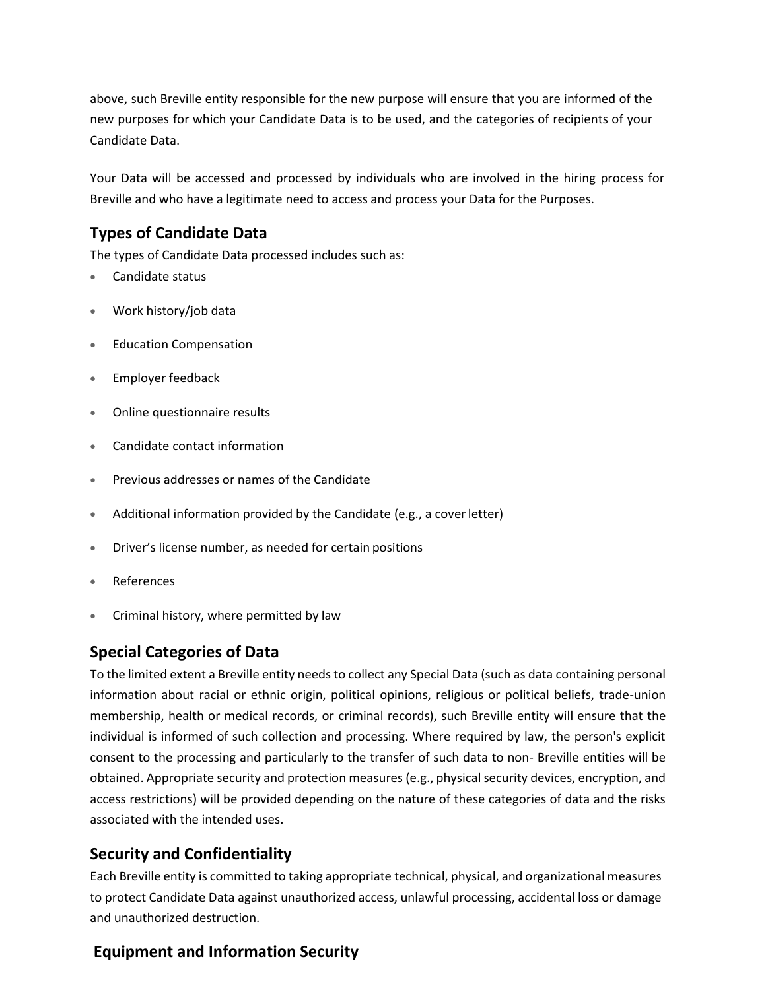above, such Breville entity responsible for the new purpose will ensure that you are informed of the new purposes for which your Candidate Data is to be used, and the categories of recipients of your Candidate Data.

Your Data will be accessed and processed by individuals who are involved in the hiring process for Breville and who have a legitimate need to access and process your Data for the Purposes.

# **Types of Candidate Data**

The types of Candidate Data processed includes such as:

- Candidate status
- Work history/job data
- Education Compensation
- Employer feedback
- Online questionnaire results
- Candidate contact information
- Previous addresses or names of the Candidate
- Additional information provided by the Candidate (e.g., a coverletter)
- Driver's license number, as needed for certain positions
- **References**
- Criminal history, where permitted by law

# **Special Categories of Data**

To the limited extent a Breville entity needs to collect any Special Data (such as data containing personal information about racial or ethnic origin, political opinions, religious or political beliefs, trade-union membership, health or medical records, or criminal records), such Breville entity will ensure that the individual is informed of such collection and processing. Where required by law, the person's explicit consent to the processing and particularly to the transfer of such data to non- Breville entities will be obtained. Appropriate security and protection measures (e.g., physical security devices, encryption, and access restrictions) will be provided depending on the nature of these categories of data and the risks associated with the intended uses.

# **Security and Confidentiality**

Each Breville entity is committed to taking appropriate technical, physical, and organizational measures to protect Candidate Data against unauthorized access, unlawful processing, accidental loss or damage and unauthorized destruction.

# **Equipment and Information Security**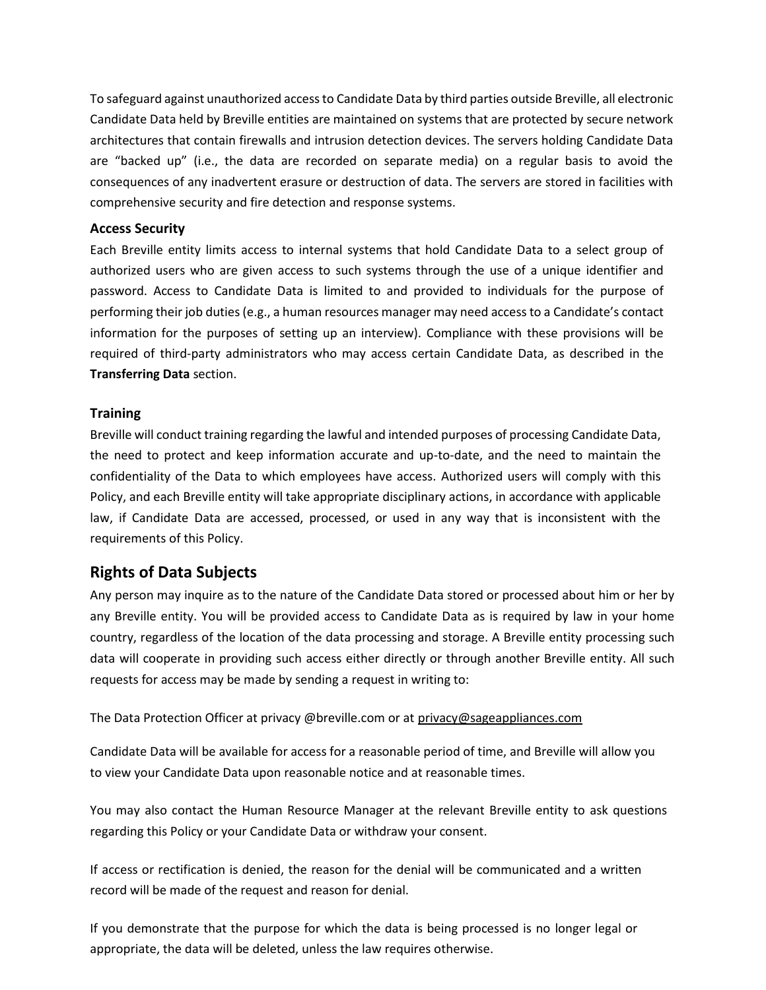To safeguard against unauthorized access to Candidate Data by third parties outside Breville, all electronic Candidate Data held by Breville entities are maintained on systems that are protected by secure network architectures that contain firewalls and intrusion detection devices. The servers holding Candidate Data are "backed up" (i.e., the data are recorded on separate media) on a regular basis to avoid the consequences of any inadvertent erasure or destruction of data. The servers are stored in facilities with comprehensive security and fire detection and response systems.

#### **Access Security**

Each Breville entity limits access to internal systems that hold Candidate Data to a select group of authorized users who are given access to such systems through the use of a unique identifier and password. Access to Candidate Data is limited to and provided to individuals for the purpose of performing their job duties (e.g., a human resources manager may need access to a Candidate's contact information for the purposes of setting up an interview). Compliance with these provisions will be required of third-party administrators who may access certain Candidate Data, as described in the **Transferring Data** section.

#### **Training**

Breville will conduct training regarding the lawful and intended purposes of processing Candidate Data, the need to protect and keep information accurate and up-to-date, and the need to maintain the confidentiality of the Data to which employees have access. Authorized users will comply with this Policy, and each Breville entity will take appropriate disciplinary actions, in accordance with applicable law, if Candidate Data are accessed, processed, or used in any way that is inconsistent with the requirements of this Policy.

### **Rights of Data Subjects**

Any person may inquire as to the nature of the Candidate Data stored or processed about him or her by any Breville entity. You will be provided access to Candidate Data as is required by law in your home country, regardless of the location of the data processing and storage. A Breville entity processing such data will cooperate in providing such access either directly or through another Breville entity. All such requests for access may be made by sending a request in writing to:

The Data Protection Officer at privacy @breville.com or at [privacy@sageappliances.com](mailto:privacy@sageappliances.com)

Candidate Data will be available for access for a reasonable period of time, and Breville will allow you to view your Candidate Data upon reasonable notice and at reasonable times.

You may also contact the Human Resource Manager at the relevant Breville entity to ask questions regarding this Policy or your Candidate Data or withdraw your consent.

If access or rectification is denied, the reason for the denial will be communicated and a written record will be made of the request and reason for denial.

If you demonstrate that the purpose for which the data is being processed is no longer legal or appropriate, the data will be deleted, unless the law requires otherwise.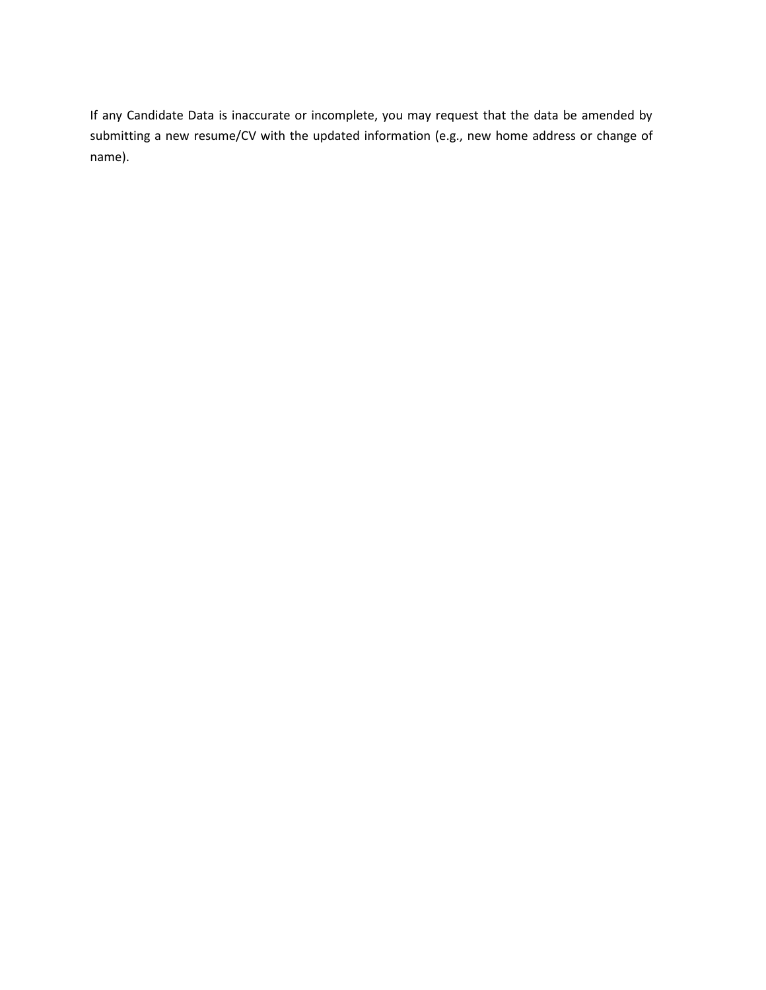If any Candidate Data is inaccurate or incomplete, you may request that the data be amended by submitting a new resume/CV with the updated information (e.g., new home address or change of name).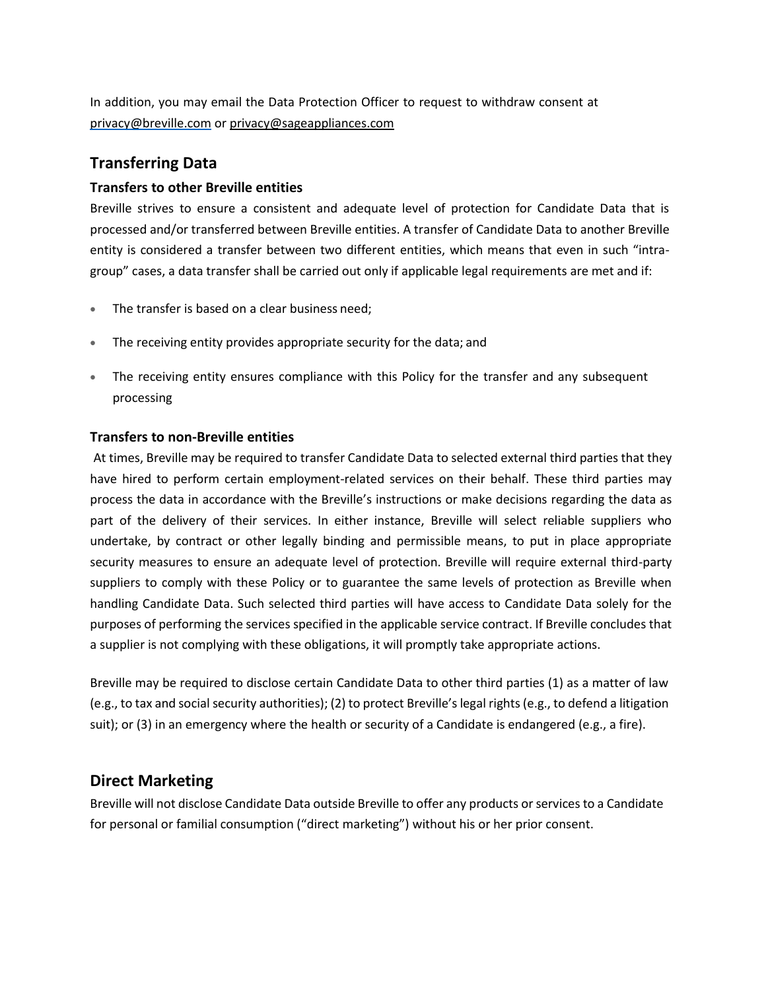In addition, you may email the Data Protection Officer to request to withdraw consent at [privacy@breville.com](mailto:privacy@breville.com) o[r privacy@sageappliances.com](mailto:privacy@sageappliances.com)

### **Transferring Data**

### **Transfers to other Breville entities**

Breville strives to ensure a consistent and adequate level of protection for Candidate Data that is processed and/or transferred between Breville entities. A transfer of Candidate Data to another Breville entity is considered a transfer between two different entities, which means that even in such "intragroup" cases, a data transfer shall be carried out only if applicable legal requirements are met and if:

- The transfer is based on a clear business need;
- The receiving entity provides appropriate security for the data; and
- The receiving entity ensures compliance with this Policy for the transfer and any subsequent processing

### **Transfers to non-Breville entities**

At times, Breville may be required to transfer Candidate Data to selected external third parties that they have hired to perform certain employment-related services on their behalf. These third parties may process the data in accordance with the Breville's instructions or make decisions regarding the data as part of the delivery of their services. In either instance, Breville will select reliable suppliers who undertake, by contract or other legally binding and permissible means, to put in place appropriate security measures to ensure an adequate level of protection. Breville will require external third-party suppliers to comply with these Policy or to guarantee the same levels of protection as Breville when handling Candidate Data. Such selected third parties will have access to Candidate Data solely for the purposes of performing the services specified in the applicable service contract. If Breville concludes that a supplier is not complying with these obligations, it will promptly take appropriate actions.

Breville may be required to disclose certain Candidate Data to other third parties (1) as a matter of law (e.g., to tax and social security authorities); (2) to protect Breville's legal rights (e.g., to defend a litigation suit); or (3) in an emergency where the health or security of a Candidate is endangered (e.g., a fire).

### **Direct Marketing**

Breville will not disclose Candidate Data outside Breville to offer any products or services to a Candidate for personal or familial consumption ("direct marketing") without his or her prior consent.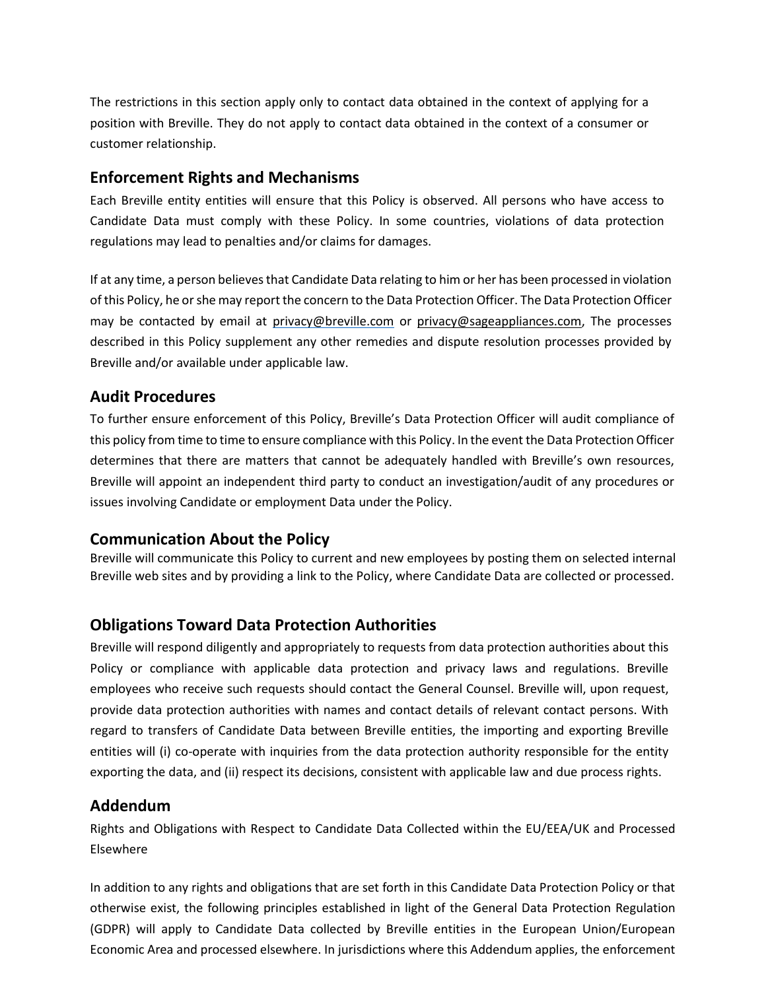The restrictions in this section apply only to contact data obtained in the context of applying for a position with Breville. They do not apply to contact data obtained in the context of a consumer or customer relationship.

### **Enforcement Rights and Mechanisms**

Each Breville entity entities will ensure that this Policy is observed. All persons who have access to Candidate Data must comply with these Policy. In some countries, violations of data protection regulations may lead to penalties and/or claims for damages.

If at any time, a person believes that Candidate Data relating to him or her has been processed in violation of this Policy, he or she may report the concern to the Data Protection Officer. The Data Protection Officer may be contacted by email at [privacy@breville.com](mailto:privacy@breville.com) or [privacy@sageappliances.com,](mailto:privacy@sageappliances.com) The processes described in this Policy supplement any other remedies and dispute resolution processes provided by Breville and/or available under applicable law.

### **Audit Procedures**

To further ensure enforcement of this Policy, Breville's Data Protection Officer will audit compliance of this policy from time to time to ensure compliance with this Policy. In the event the Data Protection Officer determines that there are matters that cannot be adequately handled with Breville's own resources, Breville will appoint an independent third party to conduct an investigation/audit of any procedures or issues involving Candidate or employment Data under the Policy.

#### **Communication About the Policy**

Breville will communicate this Policy to current and new employees by posting them on selected internal Breville web sites and by providing a link to the Policy, where Candidate Data are collected or processed.

### **Obligations Toward Data Protection Authorities**

Breville will respond diligently and appropriately to requests from data protection authorities about this Policy or compliance with applicable data protection and privacy laws and regulations. Breville employees who receive such requests should contact the General Counsel. Breville will, upon request, provide data protection authorities with names and contact details of relevant contact persons. With regard to transfers of Candidate Data between Breville entities, the importing and exporting Breville entities will (i) co-operate with inquiries from the data protection authority responsible for the entity exporting the data, and (ii) respect its decisions, consistent with applicable law and due process rights.

### **Addendum**

Rights and Obligations with Respect to Candidate Data Collected within the EU/EEA/UK and Processed Elsewhere

In addition to any rights and obligations that are set forth in this Candidate Data Protection Policy or that otherwise exist, the following principles established in light of the General Data Protection Regulation (GDPR) will apply to Candidate Data collected by Breville entities in the European Union/European Economic Area and processed elsewhere. In jurisdictions where this Addendum applies, the enforcement